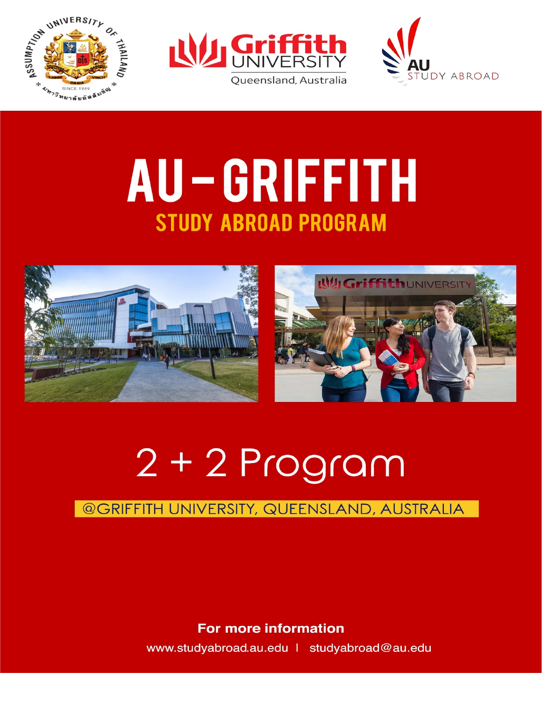





## AU-GRIFFITH **STUDY ABROAD PROGRAM**





# $2 + 2$  Program

#### **©GRIFFITH UNIVERSITY, QUEENSLAND, AUSTRALIA**

**For more information** 

www.studyabroad.au.edu | studyabroad@au.edu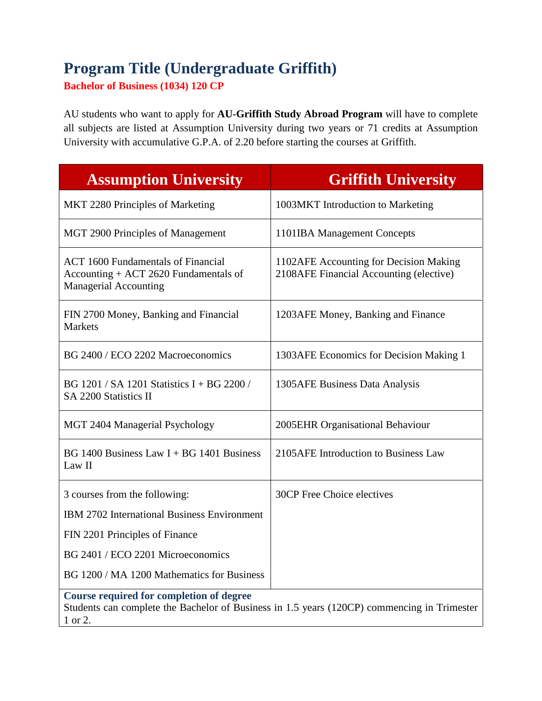## **Program Title (Undergraduate Griffith)**

**Bachelor of Business (1034) 120 CP**

AU students who want to apply for **AU-Griffith Study Abroad Program** will have to complete all subjects are listed at Assumption University during two years or 71 credits at Assumption University with accumulative G.P.A. of 2.20 before starting the courses at Griffith.

| <b>Assumption University</b>                                                                                                                              | <b>Griffith University</b>                                                        |
|-----------------------------------------------------------------------------------------------------------------------------------------------------------|-----------------------------------------------------------------------------------|
| MKT 2280 Principles of Marketing                                                                                                                          | 1003MKT Introduction to Marketing                                                 |
| MGT 2900 Principles of Management                                                                                                                         | 1101IBA Management Concepts                                                       |
| <b>ACT 1600 Fundamentals of Financial</b><br>Accounting + ACT 2620 Fundamentals of<br><b>Managerial Accounting</b>                                        | 1102AFE Accounting for Decision Making<br>2108AFE Financial Accounting (elective) |
| FIN 2700 Money, Banking and Financial<br><b>Markets</b>                                                                                                   | 1203 AFE Money, Banking and Finance                                               |
| BG 2400 / ECO 2202 Macroeconomics                                                                                                                         | 1303AFE Economics for Decision Making 1                                           |
| BG 1201 / SA 1201 Statistics I + BG 2200 /<br>SA 2200 Statistics II                                                                                       | 1305 AFE Business Data Analysis                                                   |
| MGT 2404 Managerial Psychology                                                                                                                            | 2005 EHR Organisational Behaviour                                                 |
| BG 1400 Business Law $I + BG$ 1401 Business<br>Law II                                                                                                     | 2105AFE Introduction to Business Law                                              |
| 3 courses from the following:                                                                                                                             | 30CP Free Choice electives                                                        |
| IBM 2702 International Business Environment                                                                                                               |                                                                                   |
| FIN 2201 Principles of Finance                                                                                                                            |                                                                                   |
| BG 2401 / ECO 2201 Microeconomics                                                                                                                         |                                                                                   |
| BG 1200 / MA 1200 Mathematics for Business                                                                                                                |                                                                                   |
| <b>Course required for completion of degree</b><br>Students can complete the Bachelor of Business in 1.5 years (120CP) commencing in Trimester<br>1 or 2. |                                                                                   |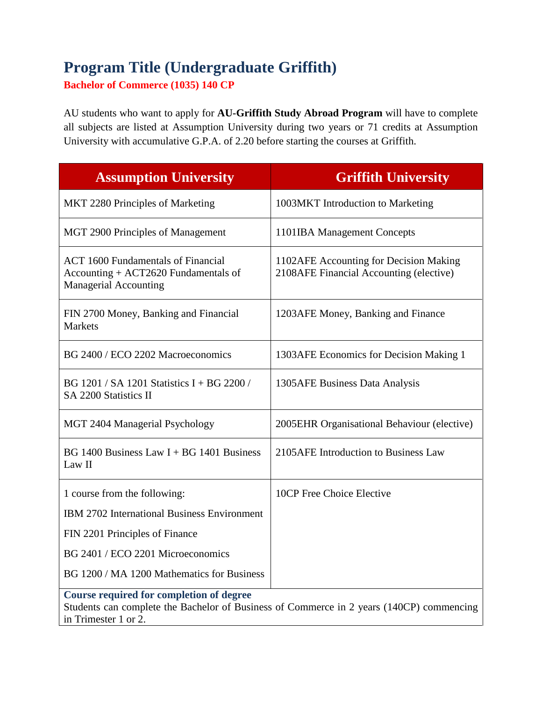### **Program Title (Undergraduate Griffith)**

**Bachelor of Commerce (1035) 140 CP**

AU students who want to apply for **AU-Griffith Study Abroad Program** will have to complete all subjects are listed at Assumption University during two years or 71 credits at Assumption University with accumulative G.P.A. of 2.20 before starting the courses at Griffith.

| <b>Assumption University</b>                                                                                                                                        | <b>Griffith University</b>                                                        |
|---------------------------------------------------------------------------------------------------------------------------------------------------------------------|-----------------------------------------------------------------------------------|
| MKT 2280 Principles of Marketing                                                                                                                                    | 1003MKT Introduction to Marketing                                                 |
| MGT 2900 Principles of Management                                                                                                                                   | 1101IBA Management Concepts                                                       |
| <b>ACT 1600 Fundamentals of Financial</b><br>Accounting + ACT2620 Fundamentals of<br><b>Managerial Accounting</b>                                                   | 1102AFE Accounting for Decision Making<br>2108AFE Financial Accounting (elective) |
| FIN 2700 Money, Banking and Financial<br><b>Markets</b>                                                                                                             | 1203AFE Money, Banking and Finance                                                |
| BG 2400 / ECO 2202 Macroeconomics                                                                                                                                   | 1303AFE Economics for Decision Making 1                                           |
| BG 1201 / SA 1201 Statistics I + BG 2200 /<br>SA 2200 Statistics II                                                                                                 | 1305 AFE Business Data Analysis                                                   |
| MGT 2404 Managerial Psychology                                                                                                                                      | 2005 EHR Organisational Behaviour (elective)                                      |
| BG 1400 Business Law $I + BG$ 1401 Business<br>Law II                                                                                                               | 2105AFE Introduction to Business Law                                              |
| 1 course from the following:                                                                                                                                        | 10CP Free Choice Elective                                                         |
| IBM 2702 International Business Environment                                                                                                                         |                                                                                   |
| FIN 2201 Principles of Finance                                                                                                                                      |                                                                                   |
| BG 2401 / ECO 2201 Microeconomics                                                                                                                                   |                                                                                   |
| BG 1200 / MA 1200 Mathematics for Business                                                                                                                          |                                                                                   |
| <b>Course required for completion of degree</b><br>Students can complete the Bachelor of Business of Commerce in 2 years (140CP) commencing<br>in Trimester 1 or 2. |                                                                                   |